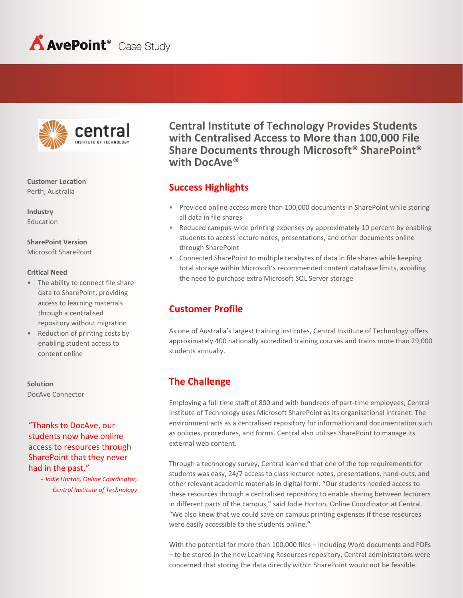



**Customer Location** Perth, Australia

**Industry** Education

**SharePoint Version** Microsoft SharePoint

#### **Critical Need**

- The ability to connect file share data to SharePoint, providing access to learning materials through a centralised repository without migration
- Reduction of printing costs by enabling student access to content online

**Solution** DocAve Connector

"Thanks to DocAve, our students now have online access to resources through SharePoint that they never had in the past."

> - *Jodie Horton, Online Coordinator, Central Institute of Technology*

**Central Institute of Technology Provides Students with Centralised Access to More than 100,000 File Share Documents through Microsoft® SharePoint® with DocAve®**

### **Success Highlights**

- Provided online access more than 100,000 documents in SharePoint while storing all data in file shares
- Reduced campus-wide printing expenses by approximately 10 percent by enabling students to access lecture notes, presentations, and other documents online through SharePoint
- Connected SharePoint to multiple terabytes of data in file shares while keeping total storage within Microsoft's recommended content database limits, avoiding the need to purchase extra Microsoft SQL Server storage

## **Customer Profile**

As one of Australia's largest training institutes, Central Institute of Technology offers approximately 400 nationally accredited training courses and trains more than 29,000 students annually.

# **The Challenge**

Employing a full time staff of 800 and with hundreds of part-time employees, Central Institute of Technology uses Microsoft SharePoint as its organisational intranet. The environment acts as a centralised repository for information and documentation such as policies, procedures, and forms. Central also utilises SharePoint to manage its external web content.

Through a technology survey, Central learned that one of the top requirements for students was easy, 24/7 access to class lecturer notes, presentations, hand-outs, and other relevant academic materials in digital form. "Our students needed access to these resources through a centralised repository to enable sharing between lecturers in different parts of the campus," said Jodie Horton, Online Coordinator at Central. "We also knew that we could save on campus printing expenses if these resources were easily accessible to the students online."

With the potential for more than 100,000 files – including Word documents and PDFs – to be stored in the new Learning Resources repository, Central administrators were concerned that storing the data directly within SharePoint would not be feasible.